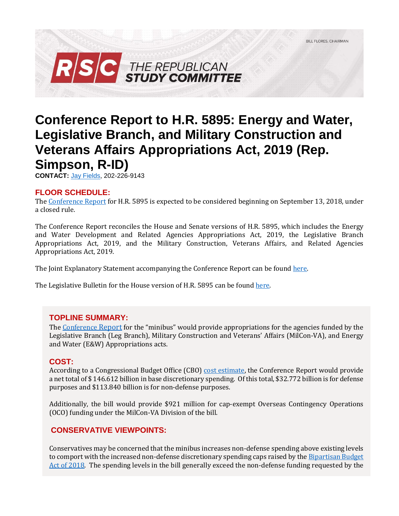

# **Conference Report to H.R. 5895: Energy and Water, Legislative Branch, and Military Construction and Veterans Affairs Appropriations Act, 2019 (Rep. Simpson, R-ID)**

**CONTACT:** [Jay Fields,](mailto:jay.fields@mail.house.gov) 202-226-9143

# **FLOOR SCHEDULE:**

Th[e Conference Report](https://docs.house.gov/billsthisweek/20180910/CRPT-115hrpt929.pdf) for H.R. 5895 is expected to be considered beginning on September 13, 2018, under a closed rule.

The Conference Report reconciles the House and Senate versions of H.R. 5895, which includes the Energy and Water Development and Related Agencies Appropriations Act, 2019, the Legislative Branch Appropriations Act, 2019, and the Military Construction, Veterans Affairs, and Related Agencies Appropriations Act, 2019.

The Joint Explanatory Statement accompanying the Conference Report can be found [here.](https://docs.house.gov/billsthisweek/20180910/Joint%20Statement.pdf)

The Legislative Bulletin for the House version of H.R. 5895 can be foun[d here.](https://gallery.mailchimp.com/d4254037a343b683d142111e0/files/7623f7d3-ebe1-4b78-9723-45025e9193b0/LB_Minibus_EW_Leg_MilCon_FY19_FINAL.pdf)

# **TOPLINE SUMMARY:**

The [Conference](https://docs.house.gov/billsthisweek/20180910/CRPT-115hrpt929.pdf) Report for the "minibus" would provide appropriations for the agencies funded by the Legislative Branch (Leg Branch), Military Construction and Veterans' Affairs (MilCon-VA), and Energy and Water (E&W) Appropriations acts.

# **COST:**

According to a Congressional Budget Office (CBO) [cost estimate,](https://www.cbo.gov/system/files?file=2018-09/hr5895_1.pdf) the Conference Report would provide a net total of \$ 146.612 billion in base discretionary spending. Of this total, \$32.772 billion is for defense purposes and \$113.840 billion is for non-defense purposes.

Additionally, the bill would provide \$921 million for cap-exempt Overseas Contingency Operations (OCO) funding under the MilCon-VA Division of the bill.

# **CONSERVATIVE VIEWPOINTS:**

Conservatives may be concerned that the minibus increases non-defense spending above existing levels to comport with the increased non-defense discretionary spending caps raised by the Bipartisan Budget [Act of 2018.](https://rsc-walker.house.gov/sites/republicanstudycommittee.house.gov/files/wysiwyg_uploaded/LB_Bipartisan_Budget_Act_of_2018_02072018_FINAL_Updated.pdf) The spending levels in the bill generally exceed the non-defense funding requested by the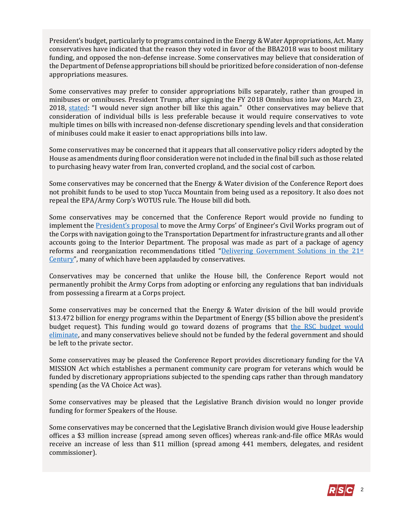President's budget, particularly to programs contained in the Energy & Water Appropriations, Act. Many conservatives have indicated that the reason they voted in favor of the BBA2018 was to boost military funding, and opposed the non-defense increase. Some conservatives may believe that consideration of the Department of Defense appropriations bill should be prioritized before consideration of non-defense appropriations measures.

Some conservatives may prefer to consider appropriations bills separately, rather than grouped in minibuses or omnibuses. President Trump, after signing the FY 2018 Omnibus into law on March 23, 2018, [stated](https://www.bloomberg.com/news/articles/2018-03-23/trump-says-he-s-signed-spending-bill-reversing-his-veto-threat): "I would never sign another bill like this again." Other conservatives may believe that consideration of individual bills is less preferable because it would require conservatives to vote multiple times on bills with increased non-defense discretionary spending levels and that consideration of minibuses could make it easier to enact appropriations bills into law.

Some conservatives may be concerned that it appears that all conservative policy riders adopted by the House as amendments during floor consideration were not included in the final bill such as those related to purchasing heavy water from Iran, converted cropland, and the social cost of carbon.

Some conservatives may be concerned that the Energy & Water division of the Conference Report does not prohibit funds to be used to stop Yucca Mountain from being used as a repository. It also does not repeal the EPA/Army Corp's WOTUS rule. The House bill did both.

Some conservatives may be concerned that the Conference Report would provide no funding to implement the **[President's proposal](https://www.performance.gov/GovReform/Reform-and-Reorg-Plan-Final.pdf#page=32)** to move the Army Corps' of Engineer's Civil Works program out of the Corps with navigation going to the Transportation Department for infrastructure grants and all other accounts going to the Interior Department. The proposal was made as part of a package of agency reforms and reorganization recommendations titled "[Delivering Government Solutions in the 21](https://www.performance.gov/GovReform/Reform-and-Reorg-Plan-Final.pdf)<sup>st</sup> [Century](https://www.performance.gov/GovReform/Reform-and-Reorg-Plan-Final.pdf)", many of which have been applauded by conservatives.

Conservatives may be concerned that unlike the House bill, the Conference Report would not permanently prohibit the Army Corps from adopting or enforcing any regulations that ban individuals from possessing a firearm at a Corps project.

Some conservatives may be concerned that the Energy & Water division of the bill would provide \$13.472 billion for energy programs within the Department of Energy (\$5 billion above the president's budget request). This funding would go toward dozens of programs that [the RSC budget would](https://rsc-walker.house.gov/sites/republicanstudycommittee.house.gov/files/wysiwyg_uploaded/RSC%20Budget%20FY2019%20-%20Narrative%20-%20FINAL.PDF#page=127)  [eliminate,](https://rsc-walker.house.gov/sites/republicanstudycommittee.house.gov/files/wysiwyg_uploaded/RSC%20Budget%20FY2019%20-%20Narrative%20-%20FINAL.PDF#page=127) and many conservatives believe should not be funded by the federal government and should be left to the private sector.

Some conservatives may be pleased the Conference Report provides discretionary funding for the VA MISSION Act which establishes a permanent community care program for veterans which would be funded by discretionary appropriations subjected to the spending caps rather than through mandatory spending (as the VA Choice Act was).

Some conservatives may be pleased that the Legislative Branch division would no longer provide funding for former Speakers of the House.

Some conservatives may be concerned that the Legislative Branch division would give House leadership offices a \$3 million increase (spread among seven offices) whereas rank-and-file office MRAs would receive an increase of less than \$11 million (spread among 441 members, delegates, and resident commissioner).

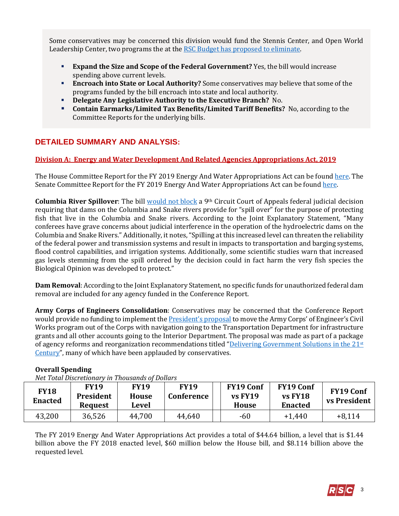Some conservatives may be concerned this division would fund the Stennis Center, and Open World Leadership Center, two programs the at the [RSC Budget has proposed to eliminate.](https://rsc-walker.house.gov/sites/republicanstudycommittee.house.gov/files/wysiwyg_uploaded/RSC%20Budget%20FY2019%20-%20Narrative%20-%20FINAL.PDF#page=139)

- **Expand the Size and Scope of the Federal Government?** Yes, the bill would increase spending above current levels.
- **Encroach into State or Local Authority?** Some conservatives may believe that some of the programs funded by the bill encroach into state and local authority.
- **Delegate Any Legislative Authority to the Executive Branch?** No.
- **Contain Earmarks/Limited Tax Benefits/Limited Tariff Benefits?** No, according to the Committee Reports for the underlying bills.

# **DETAILED SUMMARY AND ANALYSIS:**

# **Division A: Energy and Water Development And Related Agencies Appropriations Act, 2019**

The House Committee Report for the FY 2019 Energy And Water Appropriations Act can be found [here.](https://www.gpo.gov/fdsys/pkg/CRPT-115hrpt697/pdf/CRPT-115hrpt697.pdf) The Senate Committee Report for the FY 2019 Energy And Water Appropriations Act can be foun[d here.](https://www.congress.gov/115/crpt/srpt258/CRPT-115srpt258.pdf)

**Columbia River Spillover**: The bill [would not block](https://subscriber.politicopro.com/budget/whiteboard/2018/09/minibus-stops-short-of-overturning-dam-decision-1896032) a 9<sup>th</sup> Circuit Court of Appeals federal judicial decision requiring that dams on the Columbia and Snake rivers provide for "spill over" for the purpose of protecting fish that live in the Columbia and Snake rivers. According to the Joint Explanatory Statement, "Many conferees have grave concerns about judicial interference in the operation of the hydroelectric dams on the Columbia and Snake Rivers." Additionally, it notes, "Spilling at this increased level can threaten the reliability of the federal power and transmission systems and result in impacts to transportation and barging systems, flood control capabilities, and irrigation systems. Additionally, some scientific studies warn that increased gas levels stemming from the spill ordered by the decision could in fact harm the very fish species the Biological Opinion was developed to protect."

**Dam Removal**: According to the Joint Explanatory Statement, no specific funds for unauthorized federal dam removal are included for any agency funded in the Conference Report.

**Army Corps of Engineers Consolidation**: Conservatives may be concerned that the Conference Report would provide no funding to implement the [President's propo](https://www.performance.gov/GovReform/Reform-and-Reorg-Plan-Final.pdf#page=32)sal to move the Army Corps' of Engineer's Civil Works program out of the Corps with navigation going to the Transportation Department for infrastructure grants and all other accounts going to the Interior Department. The proposal was made as part of a package of agency reforms and reorganization recommendations titled "[Delivering Government Solutions in the 21](https://www.performance.gov/GovReform/Reform-and-Reorg-Plan-Final.pdf)st [Century](https://www.performance.gov/GovReform/Reform-and-Reorg-Plan-Final.pdf)", many of which have been applauded by conservatives.

| <b>FY18</b><br><b>Enacted</b> | <b>FY19</b><br>President<br><b>Request</b> | <b>FY19</b><br><b>House</b><br>Level | <b>FY19</b><br>Conference | <b>FY19 Conf</b><br>$vs$ FY19<br>House | <b>FY19 Conf</b><br><b>vs FY18</b><br><b>Enacted</b> | <b>FY19 Conf</b><br>vs President |
|-------------------------------|--------------------------------------------|--------------------------------------|---------------------------|----------------------------------------|------------------------------------------------------|----------------------------------|
| 43,200                        | 36,526                                     | 44,700                               | 44,640                    | -60                                    | $+1,440$                                             | $+8.114$                         |

# **Overall Spending**

*Net Total Discretionary in Thousands of Dollars*

The FY 2019 Energy And Water Appropriations Act provides a total of \$44.64 billion, a level that is \$1.44 billion above the FY 2018 enacted level, \$60 million below the House bill, and \$8.114 billion above the requested level.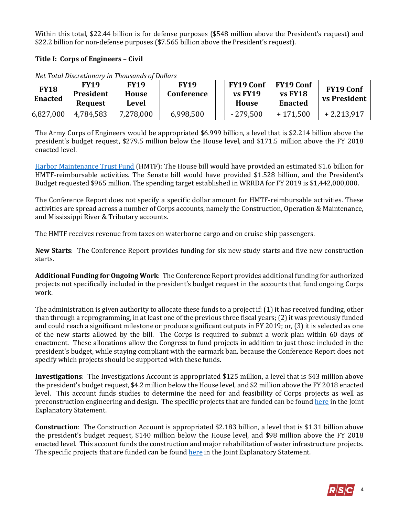Within this total, \$22.44 billion is for defense purposes (\$548 million above the President's request) and \$22.2 billion for non-defense purposes (\$7.565 billion above the President's request).

# **Title I: Corps of Engineers – Civil**

| <b>FY18</b><br><b>Enacted</b> | <b>FY19</b><br>President<br>Request | <b>FY19</b><br><b>House</b><br>Level | <b>FY19</b><br><b>Conference</b> | <b>FY19 Conf</b><br><b>vs FY19</b><br><b>House</b> | <b>FY19 Conf</b><br><b>vs FY18</b><br><b>Enacted</b> | <b>FY19 Conf</b><br><b>vs President</b> |
|-------------------------------|-------------------------------------|--------------------------------------|----------------------------------|----------------------------------------------------|------------------------------------------------------|-----------------------------------------|
| 6,827,000                     | 4,784,583                           | 7,278,000                            | 6,998,500                        | $-279,500$                                         | $+171.500$                                           | $+2,213,917$                            |

*Net Total Discretionary in Thousands of Dollars*

The Army Corps of Engineers would be appropriated \$6.999 billion, a level that is \$2.214 billion above the president's budget request, \$279.5 million below the House level, and \$171.5 million above the FY 2018 enacted level.

[Harbor Maintenance Trust Fund](https://fas.org/sgp/crs/misc/R43222.pdf) (HMTF): The House bill would have provided an estimated \$1.6 billion for HMTF-reimbursable activities. The Senate bill would have provided \$1.528 billion, and the President's Budget requested \$965 million. The spending target established in WRRDA for FY 2019 is \$1,442,000,000.

The Conference Report does not specify a specific dollar amount for HMTF-reimbursable activities. These activities are spread across a number of Corps accounts, namely the Construction, Operation & Maintenance, and Mississippi River & Tributary accounts.

The HMTF receives revenue from taxes on waterborne cargo and on cruise ship passengers.

**New Starts**: The Conference Report provides funding for six new study starts and five new construction starts.

**Additional Funding for Ongoing Work**: The Conference Report provides additional funding for authorized projects not specifically included in the president's budget request in the accounts that fund ongoing Corps work.

The administration is given authority to allocate these funds to a project if: (1) it has received funding, other than through a reprogramming, in at least one of the previous three fiscal years; (2) it was previously funded and could reach a significant milestone or produce significant outputs in FY 2019; or, (3) it is selected as one of the new starts allowed by the bill. The Corps is required to submit a work plan within 60 days of enactment. These allocations allow the Congress to fund projects in addition to just those included in the president's budget, while staying compliant with the earmark ban, because the Conference Report does not specify which projects should be supported with these funds.

**Investigations**: The Investigations Account is appropriated \$125 million, a level that is \$43 million above the president's budget request, \$4.2 million below the House level, and \$2 million above the FY 2018 enacted level. This account funds studies to determine the need for and feasibility of Corps projects as well as preconstruction engineering and design. The specific projects that are funded can be found [here](https://docs.house.gov/billsthisweek/20180910/Joint%20Statement.pdf#page=12) in the Joint Explanatory Statement.

**Construction**: The Construction Account is appropriated \$2.183 billion, a level that is \$1.31 billion above the president's budget request, \$140 million below the House level, and \$98 million above the FY 2018 enacted level. This account funds the construction and major rehabilitation of water infrastructure projects. The specific projects that are funded can be foun[d here](https://docs.house.gov/billsthisweek/20180910/Joint%20Statement.pdf#page=18) in the Joint Explanatory Statement.

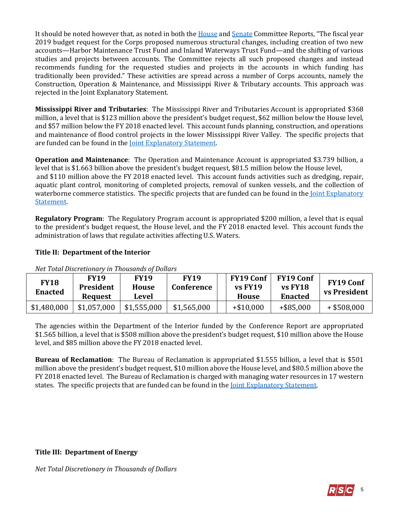It should be noted however that, as noted in both the [House](https://www.congress.gov/115/crpt/hrpt697/CRPT-115hrpt697.pdf#page=11) and [Senate](https://www.congress.gov/115/crpt/srpt258/CRPT-115srpt258.pdf#page=7) Committee Reports, "The fiscal year 2019 budget request for the Corps proposed numerous structural changes, including creation of two new accounts—Harbor Maintenance Trust Fund and Inland Waterways Trust Fund—and the shifting of various studies and projects between accounts. The Committee rejects all such proposed changes and instead recommends funding for the requested studies and projects in the accounts in which funding has traditionally been provided." These activities are spread across a number of Corps accounts, namely the Construction, Operation & Maintenance, and Mississippi River & Tributary accounts. This approach was rejected in the Joint Explanatory Statement.

**Mississippi River and Tributaries**: The Mississippi River and Tributaries Account is appropriated \$368 million, a level that is \$123 million above the president's budget request, \$62 million below the House level, and \$57 million below the FY 2018 enacted level. This account funds planning, construction, and operations and maintenance of flood control projects in the lower Mississippi River Valley. The specific projects that are funded can be found in the [Joint Explanatory Statement.](https://docs.house.gov/billsthisweek/20180910/Joint%20Statement.pdf#page=26)

**Operation and Maintenance**: The Operation and Maintenance Account is appropriated \$3.739 billion, a level that is \$1.663 billion above the president's budget request, \$81.5 million below the House level, and \$110 million above the FY 2018 enacted level. This account funds activities such as dredging, repair, aquatic plant control, monitoring of completed projects, removal of sunken vessels, and the collection of waterborne commerce statistics. The specific projects that are funded can be found in the Joint Explanatory [Statement.](https://docs.house.gov/billsthisweek/20180910/Joint%20Statement.pdf#page=30)

**Regulatory Program**: The Regulatory Program account is appropriated \$200 million, a level that is equal to the president's budget request, the House level, and the FY 2018 enacted level. This account funds the administration of laws that regulate activities affecting U.S. Waters.

# **Title II: Department of the Interior**

| <b>FY18</b><br><b>Enacted</b> | FY19<br>President<br><b>Request</b> | <b>FY19</b><br><b>House</b><br>Level | <b>FY19</b><br>Conference |  | <b>FY19 Conf</b><br>$vs$ FY19<br>House | <b>FY19 Conf</b><br><b>vs FY18</b><br><b>Enacted</b> | <b>FY19 Conf</b><br><b>vs President</b> |  |
|-------------------------------|-------------------------------------|--------------------------------------|---------------------------|--|----------------------------------------|------------------------------------------------------|-----------------------------------------|--|
| \$1,480,000                   | \$1,057,000                         | \$1,555,000                          | \$1,565,000               |  | $+ $10,000$                            | $+$ \$85,000                                         | $+$ \$508,000                           |  |

*Net Total Discretionary in Thousands of Dollars*

The agencies within the Department of the Interior funded by the Conference Report are appropriated \$1.565 billion, a level that is \$508 million above the president's budget request, \$10 million above the House level, and \$85 million above the FY 2018 enacted level.

**Bureau of Reclamation**: The Bureau of Reclamation is appropriated \$1.555 billion, a level that is \$501 million above the president's budget request, \$10 million above the House level, and \$80.5 million above the FY 2018 enacted level. The Bureau of Reclamation is charged with managing water resources in 17 western states. The specific projects that are funded can be found in the [Joint Explanatory Statement.](https://docs.house.gov/billsthisweek/20180910/Joint%20Statement.pdf#page=59)

# **Title III: Department of Energy**

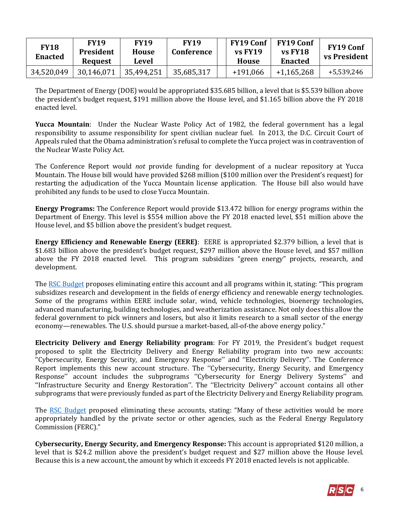| <b>FY18</b><br><b>Enacted</b> | FY19<br><b>President</b><br><b>Request</b> | <b>FY19</b><br>House<br>Level | <b>FY19</b><br>Conference | <b>FY19 Conf</b><br>$vs$ FY19<br>House | <b>FY19 Conf</b><br><b>vs FY18</b><br>Enacted | <b>FY19 Conf</b><br><b>vs President</b> |
|-------------------------------|--------------------------------------------|-------------------------------|---------------------------|----------------------------------------|-----------------------------------------------|-----------------------------------------|
| 34,520,049                    | 30,146,071                                 | 35,494,251                    | 35,685,317                | $+191,066$                             | $+1,165,268$                                  | +5,539,246                              |

The Department of Energy (DOE) would be appropriated \$35.685 billion, a level that is \$5.539 billion above the president's budget request, \$191 million above the House level, and \$1.165 billion above the FY 2018 enacted level.

**Yucca Mountain**: Under the Nuclear Waste Policy Act of 1982, the federal government has a legal responsibility to assume responsibility for spent civilian nuclear fuel. In 2013, the D.C. Circuit Court of Appeals ruled that the Obama administration's refusal to complete the Yucca project was in contravention of the Nuclear Waste Policy Act.

The Conference Report would *not* provide funding for development of a nuclear repository at Yucca Mountain. The House bill would have provided \$268 million (\$100 million over the President's request) for restarting the adjudication of the Yucca Mountain license application. The House bill also would have prohibited any funds to be used to close Yucca Mountain.

**Energy Programs:** The Conference Report would provide \$13.472 billion for energy programs within the Department of Energy. This level is \$554 million above the FY 2018 enacted level, \$51 million above the House level, and \$5 billion above the president's budget request.

**Energy Efficiency and Renewable Energy (EERE)**: EERE is appropriated \$2.379 billion, a level that is \$1.683 billion above the president's budget request, \$297 million above the House level, and \$57 million above the FY 2018 enacted level. This program subsidizes "green energy" projects, research, and development.

Th[e RSC Budget](https://rsc-walker.house.gov/sites/republicanstudycommittee.house.gov/files/wysiwyg_uploaded/RSC%20Budget%20FY2019%20-%20Narrative%20-%20FINAL.PDF#page=128) proposes eliminating entire this account and all programs within it, stating: "This program subsidizes research and development in the fields of energy efficiency and renewable energy technologies. Some of the programs within EERE include solar, wind, vehicle technologies, bioenergy technologies, advanced manufacturing, building technologies, and weatherization assistance. Not only does this allow the federal government to pick winners and losers, but also it limits research to a small sector of the energy economy—renewables. The U.S. should pursue a market-based, all-of-the above energy policy."

**Electricity Delivery and Energy Reliability program**: For FY 2019, the President's budget request proposed to split the Electricity Delivery and Energy Reliability program into two new accounts: ''Cybersecurity, Energy Security, and Emergency Response'' and ''Electricity Delivery''. The Conference Report implements this new account structure. The ''Cybersecurity, Energy Security, and Emergency Response'' account includes the subprograms ''Cybersecurity for Energy Delivery Systems'' and ''Infrastructure Security and Energy Restoration''. The ''Electricity Delivery'' account contains all other subprograms that were previously funded as part of the Electricity Delivery and Energy Reliability program.

The [RSC Budget](https://rsc-walker.house.gov/sites/republicanstudycommittee.house.gov/files/wysiwyg_uploaded/RSC%20Budget%20FY2019%20-%20Narrative%20-%20FINAL.PDF#page=128) proposed eliminating these accounts, stating: "Many of these activities would be more appropriately handled by the private sector or other agencies, such as the Federal Energy Regulatory Commission (FERC)."

**Cybersecurity, Energy Security, and Emergency Response:** This account is appropriated \$120 million, a level that is \$24.2 million above the president's budget request and \$27 million above the House level. Because this is a new account, the amount by which it exceeds FY 2018 enacted levels is not applicable.

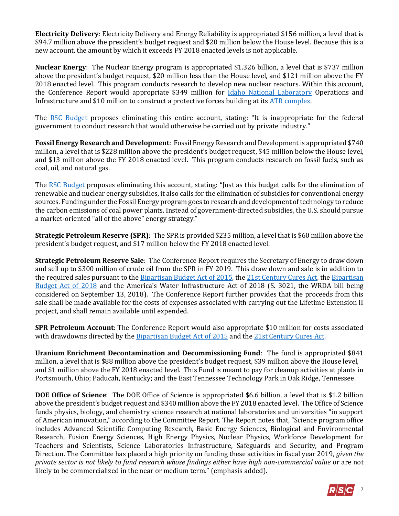**Electricity Delivery**: Electricity Delivery and Energy Reliability is appropriated \$156 million, a level that is \$94.7 million above the president's budget request and \$20 million below the House level. Because this is a new account, the amount by which it exceeds FY 2018 enacted levels is not applicable.

**Nuclear Energy**: The Nuclear Energy program is appropriated \$1.326 billion, a level that is \$737 million above the president's budget request, \$20 million less than the House level, and \$121 million above the FY 2018 enacted level. This program conducts research to develop new nuclear reactors. Within this account, the Conference Report would appropriate \$349 million for *Idaho National Laboratory* Operations and Infrastructure and \$10 million to construct a protective forces building at its [ATR complex.](http://www4vip.inl.gov/research/advanced-test-reactor/)

The [RSC Budget](https://rsc-walker.house.gov/sites/republicanstudycommittee.house.gov/files/wysiwyg_uploaded/RSC%20Budget%20FY2019%20-%20Narrative%20-%20FINAL.PDF#page=127) proposes eliminating this entire account, stating: "It is inappropriate for the federal government to conduct research that would otherwise be carried out by private industry."

**Fossil Energy Research and Development**: Fossil Energy Research and Development is appropriated \$740 million, a level that is \$228 million above the president's budget request, \$45 million below the House level, and \$13 million above the FY 2018 enacted level. This program conducts research on fossil fuels, such as coal, oil, and natural gas.

The [RSC Budget](https://rsc-walker.house.gov/sites/republicanstudycommittee.house.gov/files/wysiwyg_uploaded/RSC%20Budget%20FY2019%20-%20Narrative%20-%20FINAL.PDF#page=127) proposes eliminating this account, stating: "Just as this budget calls for the elimination of renewable and nuclear energy subsidies, it also calls for the elimination of subsidies for conventional energy sources. Funding under the Fossil Energy program goes to research and development of technology to reduce the carbon emissions of coal power plants. Instead of government-directed subsidies, the U.S. should pursue a market-oriented "all of the above" energy strategy."

**Strategic Petroleum Reserve (SPR)**: The SPR is provided \$235 million, a level that is \$60 million above the president's budget request, and \$17 million below the FY 2018 enacted level.

**Strategic Petroleum Reserve Sale**: The Conference Report requires the Secretary of Energy to draw down and sell up to \$300 million of crude oil from the SPR in FY 2019. This draw down and sale is in addition to the required sales pursuant to th[e Bipartisan Budget Act of 2015,](http://rsc.walker.house.gov/files/2015LB/RSC%20Legislative%20Bulletin%20--%20HR%201314%20Bipartisan%20Budget%20Act%20of%202015%20-%20Updated%20with%20Amendment%20--%20October%2028%202015.pdf#page=5) the [21st Century Cures Act,](https://gallery.mailchimp.com/d4254037a343b683d142111e0/files/RSC_Legislative_Bulletin_House_Amendment_to_Senate_Amendment_to_H.R._34_November_29_2016.pdf#page=10) the [Bipartisan](https://gallery.mailchimp.com/d4254037a343b683d142111e0/files/8be9165d-c3d8-465e-bc72-ddd6a788d62b/LB_Bipartisan_Budget_Act_of_2018_02072018_FINAL_Updated.pdf)  [Budget Act of 2018](https://gallery.mailchimp.com/d4254037a343b683d142111e0/files/8be9165d-c3d8-465e-bc72-ddd6a788d62b/LB_Bipartisan_Budget_Act_of_2018_02072018_FINAL_Updated.pdf) and the America's Water Infrastructure Act of 2018 (S. 3021, the WRDA bill being considered on September 13, 2018). The Conference Report further provides that the proceeds from this sale shall be made available for the costs of expenses associated with carrying out the Lifetime Extension II project, and shall remain available until expended.

**SPR Petroleum Account**: The Conference Report would also appropriate \$10 million for costs associated with drawdowns directed by the [Bipartisan Budget Act of 2015](http://rsc.walker.house.gov/files/2015LB/RSC%20Legislative%20Bulletin%20--%20HR%201314%20Bipartisan%20Budget%20Act%20of%202015%20-%20Updated%20with%20Amendment%20--%20October%2028%202015.pdf#page=5) and the [21st Century Cures Act.](https://gallery.mailchimp.com/d4254037a343b683d142111e0/files/RSC_Legislative_Bulletin_House_Amendment_to_Senate_Amendment_to_H.R._34_November_29_2016.pdf#page=10)

**Uranium Enrichment Decontamination and Decommissioning Fund**: The fund is appropriated \$841 million, a level that is \$88 million above the president's budget request, \$39 million above the House level, and \$1 million above the FY 2018 enacted level. This Fund is meant to pay for cleanup activities at plants in Portsmouth, Ohio; Paducah, Kentucky; and the East Tennessee Technology Park in Oak Ridge, Tennessee.

**DOE Office of Science**: The DOE Office of Science is appropriated \$6.6 billion, a level that is \$1.2 billion above the president's budget request and \$340 million above the FY 2018 enacted level. The Office of Science funds physics, biology, and chemistry science research at national laboratories and universities "in support of American innovation," according to the Committee Report. The Report notes that, "Science program office includes Advanced Scientific Computing Research, Basic Energy Sciences, Biological and Environmental Research, Fusion Energy Sciences, High Energy Physics, Nuclear Physics, Workforce Development for Teachers and Scientists, Science Laboratories Infrastructure, Safeguards and Security, and Program Direction. The Committee has placed a high priority on funding these activities in fiscal year 2019, *given the private sector is not likely to fund research whose findings either have high non-commercial value* or are not likely to be commercialized in the near or medium term." (emphasis added).

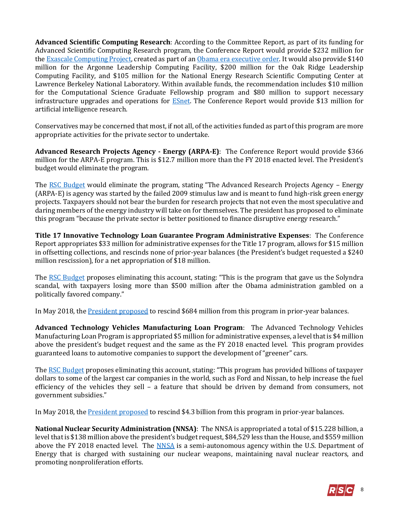**Advanced Scientific Computing Research**: According to the Committee Report, as part of its funding for Advanced Scientific Computing Research program, the Conference Report would provide \$232 million for th[e Exascale Computing Project,](https://obamawhitehouse.archives.gov/the-press-office/2015/07/29/executive-order-creating-national-strategic-computing-initiative) created as part of a[n Obama era executive order.](https://obamawhitehouse.archives.gov/the-press-office/2015/07/29/executive-order-creating-national-strategic-computing-initiative) It would also provide \$140 million for the Argonne Leadership Computing Facility, \$200 million for the Oak Ridge Leadership Computing Facility, and \$105 million for the National Energy Research Scientific Computing Center at Lawrence Berkeley National Laboratory. Within available funds, the recommendation includes \$10 million for the Computational Science Graduate Fellowship program and \$80 million to support necessary infrastructure upgrades and operations for [ESnet.](https://www.es.net/) The Conference Report would provide \$13 million for artificial intelligence research.

Conservatives may be concerned that most, if not all, of the activities funded as part of this program are more appropriate activities for the private sector to undertake.

**Advanced Research Projects Agency - Energy (ARPA-E)**: The Conference Report would provide \$366 million for the ARPA-E program. This is \$12.7 million more than the FY 2018 enacted level. The President's budget would eliminate the program.

The [RSC Budget](https://rsc-walker.house.gov/sites/republicanstudycommittee.house.gov/files/wysiwyg_uploaded/RSC%20Budget%20FY2019%20-%20Narrative%20-%20FINAL.PDF#page=127) would eliminate the program, stating "The Advanced Research Projects Agency – Energy (ARPA-E) is agency was started by the failed 2009 stimulus law and is meant to fund high-risk green energy projects. Taxpayers should not bear the burden for research projects that not even the most speculative and daring members of the energy industry will take on for themselves. The president has proposed to eliminate this program "because the private sector is better positioned to finance disruptive energy research."

**Title 17 Innovative Technology Loan Guarantee Program Administrative Expenses**: The Conference Report appropriates \$33 million for administrative expenses for the Title 17 program, allows for \$15 million in offsetting collections, and rescinds none of prior-year balances (the President's budget requested a \$240 million rescission), for a net appropriation of \$18 million.

The [RSC Budget](http://rsc.walker.house.gov/files/Initiatives/SecuringAmericasFutureEconomyRSCFY2018Budget.pdf#page=138) proposes eliminating this account, stating: "This is the program that gave us the Solyndra scandal, with taxpayers losing more than \$500 million after the Obama administration gambled on a politically favored company."

In May 2018, the [President proposed](https://www.whitehouse.gov/wp-content/uploads/2018/05/POTUS-Rescission-Transmittal-Package-5.8.2018.pdf#page=16) to rescind \$684 million from this program in prior-year balances.

**Advanced Technology Vehicles Manufacturing Loan Program**: The Advanced Technology Vehicles Manufacturing Loan Program is appropriated \$5 million for administrative expenses, a level that is \$4 million above the president's budget request and the same as the FY 2018 enacted level. This program provides guaranteed loans to automotive companies to support the development of "greener" cars.

Th[e RSC Budget](https://rsc-walker.house.gov/sites/republicanstudycommittee.house.gov/files/wysiwyg_uploaded/RSC%20Budget%20FY2019%20-%20Narrative%20-%20FINAL.PDF#page=128) proposes eliminating this account, stating: "This program has provided billions of taxpayer dollars to some of the largest car companies in the world, such as Ford and Nissan, to help increase the fuel efficiency of the vehicles they sell – a feature that should be driven by demand from consumers, not government subsidies."

In May 2018, the [President proposed](https://www.whitehouse.gov/wp-content/uploads/2018/05/POTUS-Rescission-Transmittal-Package-5.8.2018.pdf#page=15) to rescind \$4.3 billion from this program in prior-year balances.

**National Nuclear Security Administration (NNSA)**: The NNSA is appropriated a total of \$15.228 billion, a level that is \$138 million above the president's budget request, \$84,529 less than the House, and \$559 million above the FY 2018 enacted level. The [NNSA](http://nnsa.energy.gov/) is a semi-autonomous agency within the U.S. Department of Energy that is charged with sustaining our nuclear weapons, maintaining naval nuclear reactors, and promoting nonproliferation efforts.

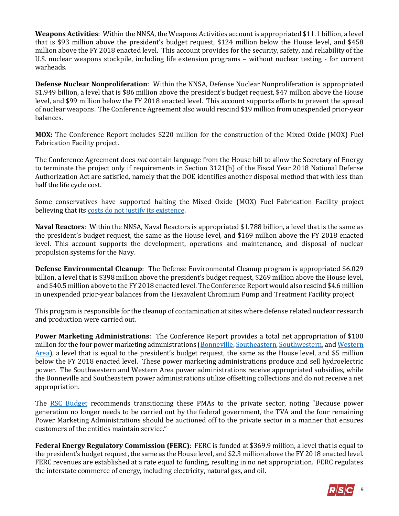**Weapons Activities**: Within the NNSA, the Weapons Activities account is appropriated \$11.1 billion, a level that is \$93 million above the president's budget request, \$124 million below the House level, and \$458 million above the FY 2018 enacted level. This account provides for the security, safety, and reliability of the U.S. nuclear weapons stockpile, including life extension programs – without nuclear testing - for current warheads.

**Defense Nuclear Nonproliferation**: Within the NNSA, Defense Nuclear Nonproliferation is appropriated \$1.949 billion, a level that is \$86 million above the president's budget request, \$47 million above the House level, and \$99 million below the FY 2018 enacted level. This account supports efforts to prevent the spread of nuclear weapons. The Conference Agreement also would rescind \$19 million from unexpended prior-year balances.

**MOX:** The Conference Report includes \$220 million for the construction of the Mixed Oxide (MOX) Fuel Fabrication Facility project.

The Conference Agreement does *not* contain language from the House bill to allow the Secretary of Energy to terminate the project only if requirements in Section 3121(b) of the Fiscal Year 2018 National Defense Authorization Act are satisfied, namely that the DOE identifies another disposal method that with less than half the life cycle cost.

Some conservatives have supported halting the Mixed Oxide (MOX) Fuel Fabrication Facility project believing that it[s costs do not justify its existence.](https://www.taxpayer.net/energy-natural-resources/the-poster-child-for-government-boondoggles/)

**Naval Reactors**: Within the NNSA, Naval Reactors is appropriated \$1.788 billion, a level that is the same as the president's budget request, the same as the House level, and \$169 million above the FY 2018 enacted level. This account supports the development, operations and maintenance, and disposal of nuclear propulsion systems for the Navy.

**Defense Environmental Cleanup**: The Defense Environmental Cleanup program is appropriated \$6.029 billion, a level that is \$398 million above the president's budget request, \$269 million above the House level, and \$40.5 million above to the FY 2018 enacted level. The Conference Report would also rescind \$4.6 million in unexpended prior-year balances from the Hexavalent Chromium Pump and Treatment Facility project

This program is responsible for the cleanup of contamination at sites where defense related nuclear research and production were carried out.

**Power Marketing Administrations**: The Conference Report provides a total net appropriation of \$100 million for the four power marketing administrations [\(Bonneville,](http://www.bpa.gov/) [Southeastern,](http://energy.gov/sepa) [Southwestern,](http://www.swpa.gov/) an[d Western](http://www.wapa.gov/)  [Area](http://www.wapa.gov/)), a level that is equal to the president's budget request, the same as the House level, and \$5 million below the FY 2018 enacted level. These power marketing administrations produce and sell hydroelectric power. The Southwestern and Western Area power administrations receive appropriated subsidies, while the Bonneville and Southeastern power administrations utilize offsetting collections and do not receive a net appropriation.

The [RSC Budget](https://rsc-walker.house.gov/sites/republicanstudycommittee.house.gov/files/wysiwyg_uploaded/RSC%20Budget%20FY2019%20-%20Narrative%20-%20FINAL.PDF#page=91) recommends transitioning these PMAs to the private sector, noting "Because power generation no longer needs to be carried out by the federal government, the TVA and the four remaining Power Marketing Administrations should be auctioned off to the private sector in a manner that ensures customers of the entities maintain service."

**Federal Energy Regulatory Commission (FERC)**: FERC is funded at \$369.9 million, a level that is equal to the president's budget request, the same as the House level, and \$2.3 million above the FY 2018 enacted level. FERC revenues are established at a rate equal to funding, resulting in no net appropriation. FERC regulates the interstate commerce of energy, including electricity, natural gas, and oil.

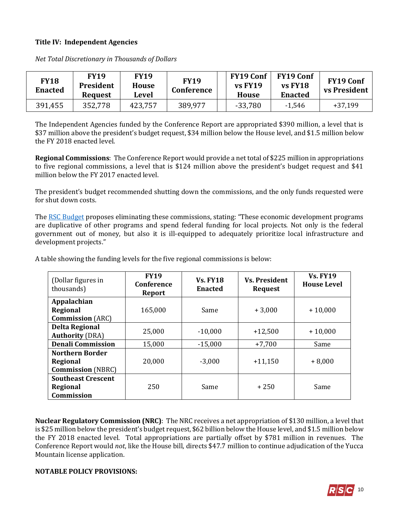#### **Title IV: Independent Agencies**

| <b>FY18</b><br><b>Enacted</b> | FY19<br><b>President</b><br><b>Request</b> | <b>FY19</b><br>House<br>Level | <b>FY19</b><br>Conference | <b>FY19 Conf</b><br><b>vs FY19</b><br><b>House</b> | <b>FY19 Conf</b><br>$vs$ FY18<br><b>Enacted</b> | <b>FY19 Conf</b><br>vs President |
|-------------------------------|--------------------------------------------|-------------------------------|---------------------------|----------------------------------------------------|-------------------------------------------------|----------------------------------|
| 391,455                       | 352,778                                    | 423,757                       | 389,977                   | $-33,780$                                          | $-1,546$                                        | $+37,199$                        |

*Net Total Discretionary in Thousands of Dollars*

The Independent Agencies funded by the Conference Report are appropriated \$390 million, a level that is \$37 million above the president's budget request, \$34 million below the House level, and \$1.5 million below the FY 2018 enacted level.

**Regional Commissions**: The Conference Report would provide a net total of \$225 million in appropriations to five regional commissions, a level that is \$124 million above the president's budget request and \$41 million below the FY 2017 enacted level.

The president's budget recommended shutting down the commissions, and the only funds requested were for shut down costs.

Th[e RSC Budget](https://rsc-walker.house.gov/sites/republicanstudycommittee.house.gov/files/wysiwyg_uploaded/RSC%20Budget%20FY2019%20-%20Narrative%20-%20FINAL.PDF#page=128) proposes eliminating these commissions, stating: "These economic development programs are duplicative of other programs and spend federal funding for local projects. Not only is the federal government out of money, but also it is ill-equipped to adequately prioritize local infrastructure and development projects."

| (Dollar figures in<br>thousands) | <b>FY19</b><br>Conference<br>Report | <b>Vs. FY18</b><br><b>Enacted</b> | <b>Vs. President</b><br><b>Request</b> | <b>Vs. FY19</b><br><b>House Level</b> |
|----------------------------------|-------------------------------------|-----------------------------------|----------------------------------------|---------------------------------------|
| Appalachian                      |                                     |                                   |                                        |                                       |
| Regional                         | 165,000                             | Same                              | $+3,000$                               | $+10,000$                             |
| <b>Commission</b> (ARC)          |                                     |                                   |                                        |                                       |
| <b>Delta Regional</b>            | 25,000                              | $-10,000$                         |                                        | $+10,000$                             |
| <b>Authority (DRA)</b>           |                                     |                                   | $+12,500$                              |                                       |
| <b>Denali Commission</b>         | 15,000                              | $-15,000$                         | $+7,700$                               | Same                                  |
| <b>Northern Border</b>           |                                     |                                   |                                        |                                       |
| Regional                         | 20,000                              | $-3,000$                          | $+11,150$                              | $+8,000$                              |
| <b>Commission</b> (NBRC)         |                                     |                                   |                                        |                                       |
| <b>Southeast Crescent</b>        |                                     |                                   |                                        |                                       |
| Regional                         | 250                                 | Same                              | $+250$                                 | Same                                  |
| Commission                       |                                     |                                   |                                        |                                       |

A table showing the funding levels for the five regional commissions is below:

**Nuclear Regulatory Commission (NRC)**: The NRC receives a net appropriation of \$130 million, a level that is \$25 million below the president's budget request, \$62 billion below the House level, and \$1.5 million below the FY 2018 enacted level. Total appropriations are partially offset by \$781 million in revenues. The Conference Report would *not*, like the House bill, directs \$47.7 million to continue adjudication of the Yucca Mountain license application.

#### **NOTABLE POLICY PROVISIONS:**

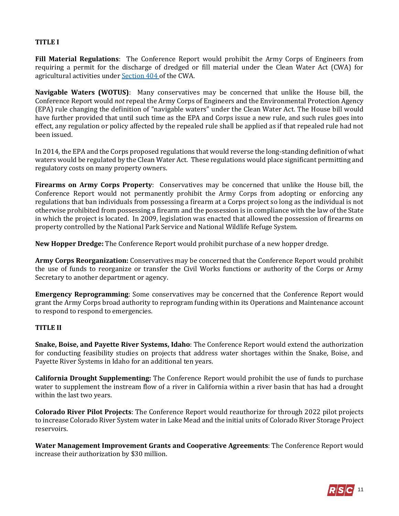# **TITLE I**

**Fill Material Regulations**: The Conference Report would prohibit the Army Corps of Engineers from requiring a permit for the discharge of dredged or fill material under the Clean Water Act (CWA) for agricultural activities under [Section 404](http://uscode.house.gov/view.xhtml?req=(title:33%20section:1344%20edition:prelim)%20OR%20(granuleid:USC-prelim-title33-section1344)&f=treesort&edition=prelim&num=0&jumpTo=true#substructure-location_f_1) of the CWA.

**Navigable Waters (WOTUS)**: Many conservatives may be concerned that unlike the House bill, the Conference Report would *not* repeal the Army Corps of Engineers and the Environmental Protection Agency (EPA) rule changing the definition of "navigable waters" under the Clean Water Act. The House bill would have further provided that until such time as the EPA and Corps issue a new rule, and such rules goes into effect, any regulation or policy affected by the repealed rule shall be applied as if that repealed rule had not been issued.

In 2014, the EPA and the Corps proposed regulations that would reverse the long-standing definition of what waters would be regulated by the Clean Water Act. These regulations would place significant permitting and regulatory costs on many property owners.

**Firearms on Army Corps Property**: Conservatives may be concerned that unlike the House bill, the Conference Report would not permanently prohibit the Army Corps from adopting or enforcing any regulations that ban individuals from possessing a firearm at a Corps project so long as the individual is not otherwise prohibited from possessing a firearm and the possession is in compliance with the law of the State in which the project is located. In 2009, legislation was enacted that allowed the possession of firearms on property controlled by the National Park Service and National Wildlife Refuge System.

**New Hopper Dredge:** The Conference Report would prohibit purchase of a new hopper dredge.

**Army Corps Reorganization:** Conservatives may be concerned that the Conference Report would prohibit the use of funds to reorganize or transfer the Civil Works functions or authority of the Corps or Army Secretary to another department or agency.

**Emergency Reprogramming**: Some conservatives may be concerned that the Conference Report would grant the Army Corps broad authority to reprogram funding within its Operations and Maintenance account to respond to respond to emergencies.

# **TITLE II**

**Snake, Boise, and Payette River Systems, Idaho**: The Conference Report would extend the authorization for conducting feasibility studies on projects that address water shortages within the Snake, Boise, and Payette River Systems in Idaho for an additional ten years.

**California Drought Supplementing:** The Conference Report would prohibit the use of funds to purchase water to supplement the instream flow of a river in California within a river basin that has had a drought within the last two years.

**Colorado River Pilot Projects**: The Conference Report would reauthorize for through 2022 pilot projects to increase Colorado River System water in Lake Mead and the initial units of Colorado River Storage Project reservoirs.

**Water Management Improvement Grants and Cooperative Agreements**: The Conference Report would increase their authorization by \$30 million.

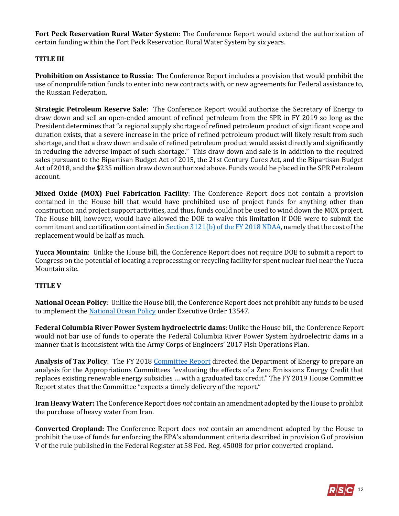**Fort Peck Reservation Rural Water System**: The Conference Report would extend the authorization of certain funding within the Fort Peck Reservation Rural Water System by six years.

# **TITLE III**

**Prohibition on Assistance to Russia**: The Conference Report includes a provision that would prohibit the use of nonproliferation funds to enter into new contracts with, or new agreements for Federal assistance to, the Russian Federation.

**Strategic Petroleum Reserve Sale**: The Conference Report would authorize the Secretary of Energy to draw down and sell an open-ended amount of refined petroleum from the SPR in FY 2019 so long as the President determines that "a regional supply shortage of refined petroleum product of significant scope and duration exists, that a severe increase in the price of refined petroleum product will likely result from such shortage, and that a draw down and sale of refined petroleum product would assist directly and significantly in reducing the adverse impact of such shortage." This draw down and sale is in addition to the required sales pursuant to the Bipartisan Budget Act of 2015, the 21st Century Cures Act, and the Bipartisan Budget Act of 2018, and the \$235 million draw down authorized above. Funds would be placed in the SPR Petroleum account.

**Mixed Oxide (MOX) Fuel Fabrication Facility**: The Conference Report does not contain a provision contained in the House bill that would have prohibited use of project funds for anything other than construction and project support activities, and thus, funds could not be used to wind down the MOX project. The House bill, however, would have allowed the DOE to waive this limitation if DOE were to submit the commitment and certification contained i[n Section 3121\(b\) of the FY 2018 NDAA,](https://www.congress.gov/115/bills/hr2810/BILLS-115hr2810enr.pdf#page=610) namely that the cost of the replacement would be half as much.

**Yucca Mountain**: Unlike the House bill, the Conference Report does not require DOE to submit a report to Congress on the potential of locating a reprocessing or recycling facility for spent nuclear fuel near the Yucca Mountain site.

#### **TITLE V**

**National Ocean Policy**: Unlike the House bill, the Conference Report does not prohibit any funds to be used to implement the [National Ocean Policy](http://naturalresources.house.gov/news/documentquery.aspx?SubcommitteeID=23422) under Executive Order 13547.

**Federal Columbia River Power System hydroelectric dams**: Unlike the House bill, the Conference Report would not bar use of funds to operate the Federal Columbia River Power System hydroelectric dams in a manner that is inconsistent with the Army Corps of Engineers' 2017 Fish Operations Plan.

Analysis of Tax Policy: The FY 2018 Committee Report directed the Department of Energy to prepare an analysis for the Appropriations Committees "evaluating the effects of a Zero Emissions Energy Credit that replaces existing renewable energy subsidies … with a graduated tax credit." The FY 2019 House Committee Report states that the Committee "expects a timely delivery of the report."

**Iran Heavy Water:** The Conference Report does *not* contain an amendment adopted by the House to prohibit the purchase of heavy water from Iran.

**Converted Cropland:** The Conference Report does *not* contain an amendment adopted by the House to prohibit the use of funds for enforcing the EPA's abandonment criteria described in provision G of provision V of the rule published in the Federal Register at 58 Fed. Reg. 45008 for prior converted cropland.

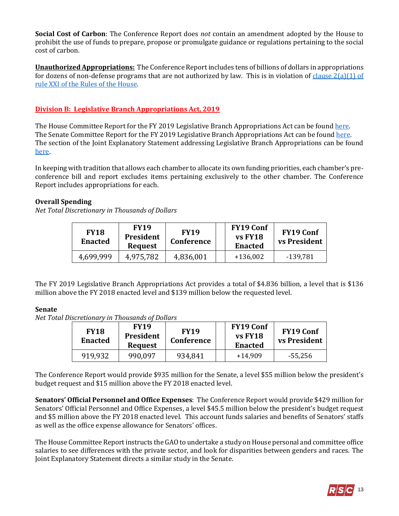**Social Cost of Carbon**: The Conference Report does *not* contain an amendment adopted by the House to prohibit the use of funds to prepare, propose or promulgate guidance or regulations pertaining to the social cost of carbon.

**Unauthorized Appropriations:** The Conference Report includes tens of billions of dollars in appropriations for dozens of non-defense programs that are not authorized by law. This is in violation of clause  $2(a)(1)$  of [rule XXI of the Rules of the House.](https://rules.house.gov/sites/republicans.rules.house.gov/files/115/PDF/House-Rules-115.pdf#page=39) 

# **Division B: Legislative Branch Appropriations Act, 2019**

The House Committee Report for the FY 2019 Legislative Branch Appropriations Act can be found [here.](https://www.gpo.gov/fdsys/pkg/CRPT-115hrpt696/pdf/CRPT-115hrpt696.pdf) The Senate Committee Report for the FY 2019 Legislative Branch Appropriations Act can be found [here.](https://www.congress.gov/115/crpt/srpt274/CRPT-115srpt274.pdf) The section of the Joint Explanatory Statement addressing Legislative Branch Appropriations can be found [here.](https://www.congress.gov/115/crpt/srpt274/CRPT-115srpt274.pdf)

In keeping with tradition that allows each chamber to allocate its own funding priorities, each chamber's preconference bill and report excludes items pertaining exclusively to the other chamber. The Conference Report includes appropriations for each.

# **Overall Spending**

*Net Total Discretionary in Thousands of Dollars*

| <b>FY18</b><br><b>Enacted</b> | <b>FY19</b><br><b>President</b><br><b>Request</b> | <b>FY19</b><br>Conference | <b>FY19 Conf</b><br>vs FY18<br><b>Enacted</b> | <b>FY19 Conf</b><br><b>vs President</b> |
|-------------------------------|---------------------------------------------------|---------------------------|-----------------------------------------------|-----------------------------------------|
| 4,699,999                     | 4,975,782                                         | 4,836,001                 | $+136,002$                                    | -139,781                                |

The FY 2019 Legislative Branch Appropriations Act provides a total of \$4.836 billion, a level that is \$136 million above the FY 2018 enacted level and \$139 million below the requested level.

# **Senate**

*Net Total Discretionary in Thousands of Dollars*

| <b>FY18</b><br><b>Enacted</b> | <b>FY19</b><br>President<br><b>Request</b> | <b>FY19</b><br>Conference | <b>FY19 Conf</b><br>vs FY18<br><b>Enacted</b> | <b>FY19 Conf</b><br><b>vs President</b> |
|-------------------------------|--------------------------------------------|---------------------------|-----------------------------------------------|-----------------------------------------|
| 919,932                       | 990,097                                    | 934,841                   | $+14,909$                                     | $-55,256$                               |

The Conference Report would provide \$935 million for the Senate, a level \$55 million below the president's budget request and \$15 million above the FY 2018 enacted level.

**Senators' Official Personnel and Office Expenses**: The Conference Report would provide \$429 million for Senators' Official Personnel and Office Expenses, a level \$45.5 million below the president's budget request and \$5 million above the FY 2018 enacted level. This account funds salaries and benefits of Senators' staffs as well as the office expense allowance for Senators' offices.

The House Committee Report instructs the GAO to undertake a study on House personal and committee office salaries to see differences with the private sector, and look for disparities between genders and races. The Joint Explanatory Statement directs a similar study in the Senate.

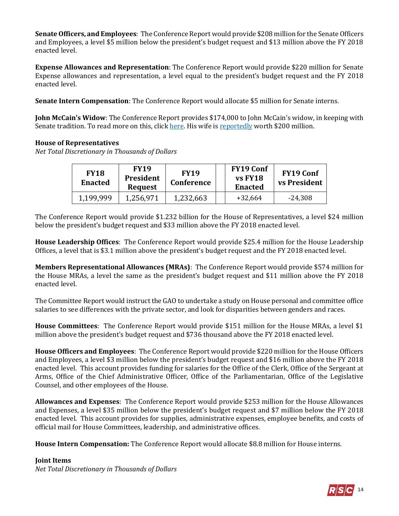**Senate Officers, and Employees**: The Conference Report would provide \$208 million for the Senate Officers and Employees, a level \$5 million below the president's budget request and \$13 million above the FY 2018 enacted level.

**Expense Allowances and Representation**: The Conference Report would provide \$220 million for Senate Expense allowances and representation, a level equal to the president's budget request and the FY 2018 enacted level.

**Senate Intern Compensation**: The Conference Report would allocate \$5 million for Senate interns.

**John McCain's Widow**: The Conference Report provides \$174,000 to John McCain's widow, in keeping with Senate tradition. To read more on this, clic[k here.](https://www.rollcall.com/news/politics/senate-death-gratuity-tradition-will-continue-family-john-mccain) His wife i[s reportedly](https://www.celebritynetworth.com/richest-politicians/republicans/cindy-mccain-net-worth/) worth \$200 million.

# **House of Representatives**

*Net Total Discretionary in Thousands of Dollars*

| <b>FY18</b><br><b>Enacted</b> | <b>FY19</b><br>President<br>Request | <b>FY19</b><br>Conference | <b>FY19 Conf</b><br>vs FY18<br><b>Enacted</b> | <b>FY19 Conf</b><br><b>vs President</b> |
|-------------------------------|-------------------------------------|---------------------------|-----------------------------------------------|-----------------------------------------|
| 1,199,999                     | 1,256,971                           | 1,232,663                 | $+32,664$                                     | $-24,308$                               |

The Conference Report would provide \$1.232 billion for the House of Representatives, a level \$24 million below the president's budget request and \$33 million above the FY 2018 enacted level.

**House Leadership Offices**: The Conference Report would provide \$25.4 million for the House Leadership Offices, a level that is \$3.1 million above the president's budget request and the FY 2018 enacted level.

**Members Representational Allowances (MRAs)**: The Conference Report would provide \$574 million for the House MRAs, a level the same as the president's budget request and \$11 million above the FY 2018 enacted level.

The Committee Report would instruct the GAO to undertake a study on House personal and committee office salaries to see differences with the private sector, and look for disparities between genders and races.

**House Committees**: The Conference Report would provide \$151 million for the House MRAs, a level \$1 million above the president's budget request and \$736 thousand above the FY 2018 enacted level.

**House Officers and Employees**: The Conference Report would provide \$220 million for the House Officers and Employees, a level \$3 million below the president's budget request and \$16 million above the FY 2018 enacted level. This account provides funding for salaries for the Office of the Clerk, Office of the Sergeant at Arms, Office of the Chief Administrative Officer, Office of the Parliamentarian, Office of the Legislative Counsel, and other employees of the House.

**Allowances and Expenses**: The Conference Report would provide \$253 million for the House Allowances and Expenses, a level \$35 million below the president's budget request and \$7 million below the FY 2018 enacted level. This account provides for supplies, administrative expenses, employee benefits, and costs of official mail for House Committees, leadership, and administrative offices.

**House Intern Compensation:** The Conference Report would allocate \$8.8 million for House interns.

# **Joint Items**

*Net Total Discretionary in Thousands of Dollars*

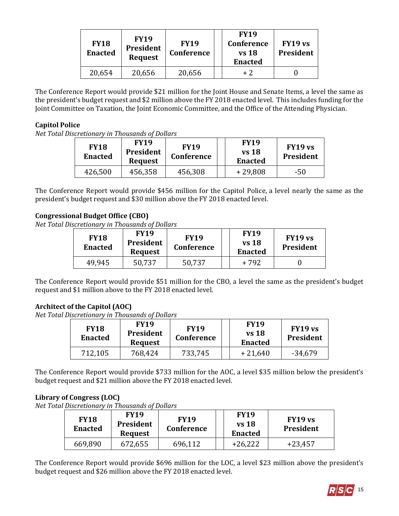| <b>FY18</b><br><b>Enacted</b> | <b>FY19</b><br>President<br><b>Request</b> | <b>FY19</b><br>Conference | <b>FY19</b><br>Conference<br><b>vs</b> 18<br><b>Enacted</b> | <b>FY19 vs</b><br>President |
|-------------------------------|--------------------------------------------|---------------------------|-------------------------------------------------------------|-----------------------------|
| 20,654                        | 20,656                                     | 20,656                    | $+2$                                                        |                             |

The Conference Report would provide \$21 million for the Joint House and Senate Items, a level the same as the president's budget request and \$2 million above the FY 2018 enacted level. This includes funding for the Joint Committee on Taxation, the Joint Economic Committee, and the Office of the Attending Physician.

# **Capitol Police**

*Net Total Discretionary in Thousands of Dollars*

| <b>FY18</b><br><b>Enacted</b> | <b>FY19</b><br>President<br><b>Request</b> | <b>FY19</b><br>Conference | <b>FY19</b><br><b>vs</b> 18<br><b>Enacted</b> | FY19 vs<br><b>President</b> |
|-------------------------------|--------------------------------------------|---------------------------|-----------------------------------------------|-----------------------------|
| 426,500                       | 456,358                                    | 456,308                   | $+29,808$                                     | -50                         |

The Conference Report would provide \$456 million for the Capitol Police, a level nearly the same as the president's budget request and \$30 million above the FY 2018 enacted level.

# **Congressional Budget Office (CBO)**

*Net Total Discretionary in Thousands of Dollars*

| <b>FY18</b><br><b>Enacted</b> | <b>FY19</b><br><b>President</b><br><b>Request</b> | <b>FY19</b><br>Conference | <b>FY19</b><br>$vs$ 18<br><b>Enacted</b> | FY19 vs<br><b>President</b> |
|-------------------------------|---------------------------------------------------|---------------------------|------------------------------------------|-----------------------------|
| 49,945                        | 50,737                                            | 50,737                    | + 792                                    |                             |

The Conference Report would provide \$51 million for the CBO, a level the same as the president's budget request and \$1 million above to the FY 2018 enacted level.

# **Architect of the Capitol (AOC)**

*Net Total Discretionary in Thousands of Dollars*

| <b>FY18</b><br><b>Enacted</b> | <b>FY19</b><br><b>President</b><br><b>Request</b> | <b>FY19</b><br>Conference | <b>FY19</b><br><b>vs</b> 18<br>Enacted | FY19 vs<br>President |
|-------------------------------|---------------------------------------------------|---------------------------|----------------------------------------|----------------------|
| 712,105                       | 768,424                                           | 733,745                   | $+21,640$                              | $-34,679$            |

The Conference Report would provide \$733 million for the AOC, a level \$35 million below the president's budget request and \$21 million above the FY 2018 enacted level.

# **Library of Congress (LOC)**

*Net Total Discretionary in Thousands of Dollars*

| <b>FY18</b><br><b>Enacted</b> | <b>FY19</b><br><b>President</b><br><b>Request</b> | <b>FY19</b><br>Conference | <b>FY19</b><br>$vs$ 18<br><b>Enacted</b> | FY19 vs<br>President |
|-------------------------------|---------------------------------------------------|---------------------------|------------------------------------------|----------------------|
| 669,890                       | 672,655                                           | 696,112                   | $+26,222$                                | $+23,457$            |

The Conference Report would provide \$696 million for the LOC, a level \$23 million above the president's budget request and \$26 million above the FY 2018 enacted level.

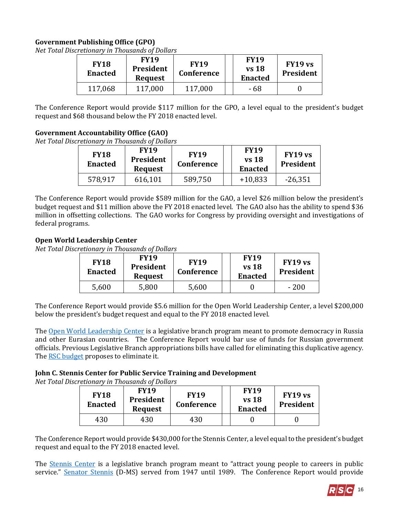# **Government Publishing Office (GPO)**

*Net Total Discretionary in Thousands of Dollars*

| <b>FY18</b><br><b>Enacted</b> | <b>FY19</b><br>President<br><b>Request</b> | <b>FY19</b><br><b>Conference</b> | <b>FY19</b><br>$vs$ 18<br><b>Enacted</b> | FY19 vs<br>President |
|-------------------------------|--------------------------------------------|----------------------------------|------------------------------------------|----------------------|
|                               | 117,000                                    | 117,000                          | - 68                                     |                      |

The Conference Report would provide \$117 million for the GPO, a level equal to the president's budget request and \$68 thousand below the FY 2018 enacted level.

# **Government Accountability Office (GAO)**

*Net Total Discretionary in Thousands of Dollars*

| <b>FY18</b><br><b>Enacted</b> | <b>FY19</b><br>President<br><b>Request</b> | <b>FY19</b><br>Conference | <b>FY19</b><br><b>vs</b> 18<br><b>Enacted</b> | FY19 vs<br><b>President</b> |
|-------------------------------|--------------------------------------------|---------------------------|-----------------------------------------------|-----------------------------|
| 578,917                       | 616,101                                    | 589,750                   | $+10,833$                                     | $-26,351$                   |

The Conference Report would provide \$589 million for the GAO, a level \$26 million below the president's budget request and \$11 million above the FY 2018 enacted level. The GAO also has the ability to spend \$36 million in offsetting collections. The GAO works for Congress by providing oversight and investigations of federal programs.

# **Open World Leadership Center**

*Net Total Discretionary in Thousands of Dollars*

| <b>FY18</b><br>Enacted | <b>FY19</b><br><b>President</b><br><b>Request</b> | <b>FY19</b><br><b>Conference</b> | <b>FY19</b><br>vs 18<br>Enacted | FY19 vs<br>President |
|------------------------|---------------------------------------------------|----------------------------------|---------------------------------|----------------------|
| 5,600                  | 5,800                                             | 5,600                            |                                 | - 200                |

The Conference Report would provide \$5.6 million for the Open World Leadership Center, a level \$200,000 below the president's budget request and equal to the FY 2018 enacted level.

Th[e Open World Leadership Center](http://www.openworld.gov/) is a legislative branch program meant to promote democracy in Russia and other Eurasian countries. The Conference Report would bar use of funds for Russian government officials. Previous Legislative Branch appropriations bills have called for eliminating this duplicative agency. The **RSC** budget proposes to eliminate it.

# **John C. Stennis Center for Public Service Training and Development**

*Net Total Discretionary in Thousands of Dollars*

| <b>FY18</b><br><b>Enacted</b> | <b>FY19</b><br>President<br><b>Request</b> | <b>FY19</b><br>Conference | <b>FY19</b><br>vs 18<br><b>Enacted</b> | FY19 vs<br><b>President</b> |
|-------------------------------|--------------------------------------------|---------------------------|----------------------------------------|-----------------------------|
| 430                           | 430                                        | 430                       |                                        |                             |

The Conference Report would provide \$430,000 for the Stennis Center, a level equal to the president's budget request and equal to the FY 2018 enacted level.

The **Stennis Center** is a legislative branch program meant to "attract young people to careers in public service." [Senator Stennis](http://www.nytimes.com/1995/04/24/obituaries/john-c-stennis-93-longtime-chairman-of-powerful-committees-in-the-senate-dies.html) (D-MS) served from 1947 until 1989. The Conference Report would provide

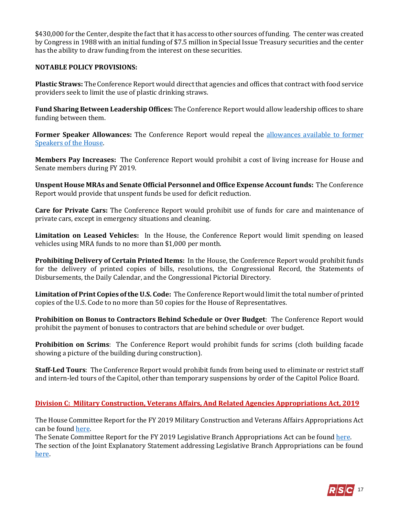\$430,000 for the Center, despite the fact that it has access to other sources of funding. The center was created by Congress in 1988 with an initial funding of \$7.5 million in Special Issue Treasury securities and the center has the ability to draw funding from the interest on these securities.

#### **NOTABLE POLICY PROVISIONS:**

**Plastic Straws:** The Conference Report would direct that agencies and offices that contract with food service providers seek to limit the use of plastic drinking straws.

**Fund Sharing Between Leadership Offices:** The Conference Report would allow leadership offices to share funding between them.

**Former Speaker Allowances:** The Conference Report would repeal the [allowances available to former](https://fas.org/sgp/crs/misc/RS20099.pdf)  [Speakers of the House.](https://fas.org/sgp/crs/misc/RS20099.pdf)

**Members Pay Increases:** The Conference Report would prohibit a cost of living increase for House and Senate members during FY 2019.

**Unspent House MRAs and Senate Official Personnel and Office Expense Account funds:** The Conference Report would provide that unspent funds be used for deficit reduction.

**Care for Private Cars:** The Conference Report would prohibit use of funds for care and maintenance of private cars, except in emergency situations and cleaning.

**Limitation on Leased Vehicles:** In the House, the Conference Report would limit spending on leased vehicles using MRA funds to no more than \$1,000 per month*.* 

**Prohibiting Delivery of Certain Printed Items:** In the House, the Conference Report would prohibit funds for the delivery of printed copies of bills, resolutions, the Congressional Record, the Statements of Disbursements, the Daily Calendar, and the Congressional Pictorial Directory.

**Limitation of Print Copies of the U.S. Code:** The Conference Report would limit the total number of printed copies of the U.S. Code to no more than 50 copies for the House of Representatives.

**Prohibition on Bonus to Contractors Behind Schedule or Over Budget**: The Conference Report would prohibit the payment of bonuses to contractors that are behind schedule or over budget.

**Prohibition on Scrims**: The Conference Report would prohibit funds for scrims (cloth building facade showing a picture of the building during construction).

**Staff-Led Tours**: The Conference Report would prohibit funds from being used to eliminate or restrict staff and intern-led tours of the Capitol, other than temporary suspensions by order of the Capitol Police Board.

# **Division C: Military Construction, Veterans Affairs, And Related Agencies Appropriations Act, 2019**

The House Committee Report for the FY 2019 Military Construction and Veterans Affairs Appropriations Act can be foun[d here.](https://www.gpo.gov/fdsys/pkg/CRPT-115hrpt673/pdf/CRPT-115hrpt673.pdf)

The Senate Committee Report for the FY 2019 Legislative Branch Appropriations Act can be found [here.](https://www.congress.gov/115/crpt/srpt274/CRPT-115srpt274.pdf) The section of the Joint Explanatory Statement addressing Legislative Branch Appropriations can be found [here.](https://docs.house.gov/billsthisweek/20180910/Joint%20Statement.pdf#page=161) 

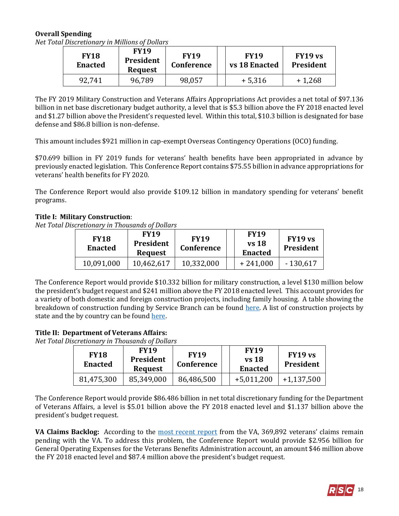# **Overall Spending**

*Net Total Discretionary in Millions of Dollars*

| <b>FY18</b><br><b>Enacted</b> | <b>FY19</b><br><b>President</b><br>Request | <b>FY19</b><br>Conference | <b>FY19</b><br>vs 18 Enacted | FY19 vs<br><b>President</b> |
|-------------------------------|--------------------------------------------|---------------------------|------------------------------|-----------------------------|
| 92,741                        | 96,789                                     | 98,057                    | $+5,316$                     | $+1,268$                    |

The FY 2019 Military Construction and Veterans Affairs Appropriations Act provides a net total of \$97.136 billion in net base discretionary budget authority, a level that is \$5.3 billion above the FY 2018 enacted level and \$1.27 billion above the President's requested level. Within this total, \$10.3 billion is designated for base defense and \$86.8 billion is non-defense.

This amount includes \$921 million in cap-exempt Overseas Contingency Operations (OCO) funding.

\$70.699 billion in FY 2019 funds for veterans' health benefits have been appropriated in advance by previously enacted legislation. This Conference Report contains \$75.55 billion in advance appropriations for veterans' health benefits for FY 2020.

The Conference Report would also provide \$109.12 billion in mandatory spending for veterans' benefit programs.

# **Title I: Military Construction**:

*Net Total Discretionary in Thousands of Dollars*

| <b>FY18</b><br><b>Enacted</b> | <b>FY19</b><br>President<br><b>Request</b> | <b>FY19</b><br>Conference | <b>FY19</b><br><b>vs</b> 18<br><b>Enacted</b> | FY19 vs<br>President |
|-------------------------------|--------------------------------------------|---------------------------|-----------------------------------------------|----------------------|
| 10,091,000                    | 10,462,617                                 | 10,332,000                | $+241,000$                                    | $-130,617$           |

The Conference Report would provide \$10.332 billion for military construction, a level \$130 million below the president's budget request and \$241 million above the FY 2018 enacted level. This account provides for a variety of both domestic and foreign construction projects, including family housing. A table showing the breakdown of construction funding by Service Branch can be found [here.](https://docs.house.gov/billsthisweek/20180910/Joint%20Statement.pdf#page=229) A list of construction projects by state and the by country can be foun[d here.](https://docs.house.gov/billsthisweek/20180910/Joint%20Statement.pdf#page=176)

#### **Title II: Department of Veterans Affairs:**

*Net Total Discretionary in Thousands of Dollars*

| <b>FY18</b><br><b>Enacted</b> | <b>FY19</b><br>President<br><b>Request</b> | <b>FY19</b><br><b>Conference</b> | <b>FY19</b><br>$vs$ 18<br><b>Enacted</b> | FY19 vs<br>President |
|-------------------------------|--------------------------------------------|----------------------------------|------------------------------------------|----------------------|
| 81,475,300                    | 85,349,000                                 | 86,486,500                       | $+5,011,200$                             | $+1,137,500$         |

The Conference Report would provide \$86.486 billion in net total discretionary funding for the Department of Veterans Affairs, a level is \$5.01 billion above the FY 2018 enacted level and \$1.137 billion above the president's budget request.

**VA Claims Backlog:** According to the [most recent report](http://benefits.va.gov/REPORTS/detailed_claims_data.asp) from the VA, 369,892 veterans' claims remain pending with the VA. To address this problem, the Conference Report would provide \$2.956 billion for General Operating Expenses for the Veterans Benefits Administration account, an amount \$46 million above the FY 2018 enacted level and \$87.4 million above the president's budget request.

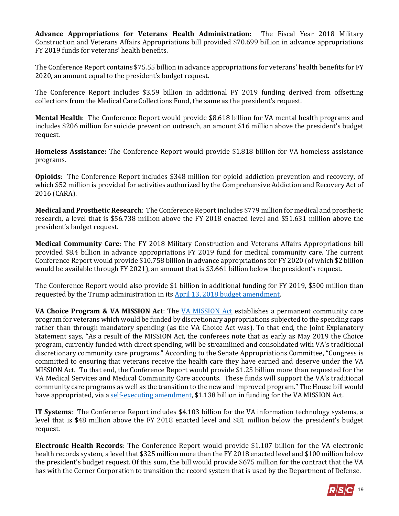**Advance Appropriations for Veterans Health Administration:** The Fiscal Year 2018 Military Construction and Veterans Affairs Appropriations bill provided \$70.699 billion in advance appropriations FY 2019 funds for veterans' health benefits.

The Conference Report contains \$75.55 billion in advance appropriations for veterans' health benefits for FY 2020, an amount equal to the president's budget request.

The Conference Report includes \$3.59 billion in additional FY 2019 funding derived from offsetting collections from the Medical Care Collections Fund, the same as the president's request.

**Mental Health**: The Conference Report would provide \$8.618 billion for VA mental health programs and includes \$206 million for suicide prevention outreach, an amount \$16 million above the president's budget request.

**Homeless Assistance:** The Conference Report would provide \$1.818 billion for VA homeless assistance programs.

**Opioids**: The Conference Report includes \$348 million for opioid addiction prevention and recovery, of which \$52 million is provided for activities authorized by the Comprehensive Addiction and Recovery Act of 2016 (CARA).

**Medical and Prosthetic Research**: The Conference Report includes \$779 million for medical and prosthetic research, a level that is \$56.738 million above the FY 2018 enacted level and \$51.631 million above the president's budget request.

**Medical Community Care**: The FY 2018 Military Construction and Veterans Affairs Appropriations bill provided \$8.4 billion in advance appropriations FY 2019 fund for medical community care. The current Conference Report would provide \$10.758 billion in advance appropriations for FY 2020 (of which \$2 billion would be available through FY 2021), an amount that is \$3.661 billion below the president's request.

The Conference Report would also provide \$1 billion in additional funding for FY 2019, \$500 million than requested by the Trump administration in its [April 13, 2018 budget amendment.](https://www.whitehouse.gov/wp-content/uploads/2018/04/FY_2019_Budget_Amendment_Package.pdf) 

**VA Choice Program & VA MISSION Act**: The [VA MISSION Act](https://gallery.mailchimp.com/d4254037a343b683d142111e0/files/60e808aa-85af-4c6f-8bf2-531534597f76/Legislative_Bulletin_H.R._5674_VA_MISSION_ACT_May_16_2018.01.pdf) establishes a permanent community care program for veterans which would be funded by discretionary appropriations subjected to the spending caps rather than through mandatory spending (as the VA Choice Act was). To that end, the Joint Explanatory Statement says, "As a result of the MISSION Act, the conferees note that as early as May 2019 the Choice program, currently funded with direct spending, will be streamlined and consolidated with VA's traditional discretionary community care programs." According to the Senate Appropriations Committee, "Congress is committed to ensuring that veterans receive the health care they have earned and deserve under the VA MISSION Act. To that end, the Conference Report would provide \$1.25 billion more than requested for the VA Medical Services and Medical Community Care accounts. These funds will support the VA's traditional community care programs as well as the transition to the new and improved program." The House bill would have appropriated, via a [self-executing amendment,](https://gallery.mailchimp.com/d4254037a343b683d142111e0/files/58b27948-a3fe-4bd7-8e7b-97388004d2ec/LB_Minibus_Amendments_Part_II_E_W_MilConVA_Leg_FINAL.pdf) \$1.138 billion in funding for the VA MISSION Act.

**IT Systems**: The Conference Report includes \$4.103 billion for the VA information technology systems, a level that is \$48 million above the FY 2018 enacted level and \$81 million below the president's budget request.

**Electronic Health Records**: The Conference Report would provide \$1.107 billion for the VA electronic health records system, a level that \$325 million more than the FY 2018 enacted level and \$100 million below the president's budget request. Of this sum, the bill would provide \$675 million for the contract that the VA has with the Cerner Corporation to transition the record system that is used by the Department of Defense.

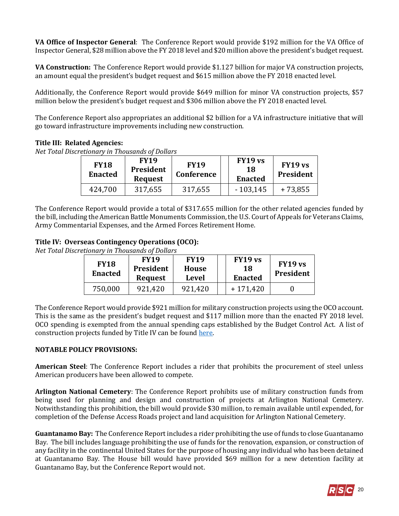**VA Office of Inspector General**: The Conference Report would provide \$192 million for the VA Office of Inspector General, \$28 million above the FY 2018 level and \$20 million above the president's budget request.

**VA Construction:** The Conference Report would provide \$1.127 billion for major VA construction projects, an amount equal the president's budget request and \$615 million above the FY 2018 enacted level.

Additionally, the Conference Report would provide \$649 million for minor VA construction projects, \$57 million below the president's budget request and \$306 million above the FY 2018 enacted level.

The Conference Report also appropriates an additional \$2 billion for a VA infrastructure initiative that will go toward infrastructure improvements including new construction.

#### **Title III: Related Agencies:**

*Net Total Discretionary in Thousands of Dollars*

| <b>FY18</b><br><b>Enacted</b> | <b>FY19</b><br>President<br><b>Request</b> | <b>FY19</b><br><b>Conference</b> | FY19 vs<br>18<br><b>Enacted</b> | FY19 vs<br>President |
|-------------------------------|--------------------------------------------|----------------------------------|---------------------------------|----------------------|
| 424,700                       | 317,655                                    | 317,655                          | $-103,145$                      | $+73,855$            |

The Conference Report would provide a total of \$317.655 million for the other related agencies funded by the bill, including the American Battle Monuments Commission, the U.S. Court of Appeals for Veterans Claims, Army Commentarial Expenses, and the Armed Forces Retirement Home.

# **Title IV: Overseas Contingency Operations (OCO):**

*Net Total Discretionary in Thousands of Dollars*

| <b>FY18</b><br><b>Enacted</b> | <b>FY19</b><br>President<br><b>Request</b> | <b>FY19</b><br>House<br><b>Level</b> | FY19 vs<br>18<br><b>Enacted</b> | FY19 vs<br>President |
|-------------------------------|--------------------------------------------|--------------------------------------|---------------------------------|----------------------|
| 750,000                       | 921.420                                    | 921,420                              | $+171.420$                      |                      |

The Conference Report would provide \$921 million for military construction projects using the OCO account. This is the same as the president's budget request and \$117 million more than the enacted FY 2018 level. OCO spending is exempted from the annual spending caps established by the Budget Control Act. A list of construction projects funded by Title IV can be found here.

# **NOTABLE POLICY PROVISIONS:**

**American Steel**: The Conference Report includes a rider that prohibits the procurement of steel unless American producers have been allowed to compete.

**Arlington National Cemetery**: The Conference Report prohibits use of military construction funds from being used for planning and design and construction of projects at Arlington National Cemetery. Notwithstanding this prohibition, the bill would provide \$30 million, to remain available until expended, for completion of the Defense Access Roads project and land acquisition for Arlington National Cemetery.

**Guantanamo Bay:** The Conference Report includes a rider prohibiting the use of funds to close Guantanamo Bay. The bill includes language prohibiting the use of funds for the renovation, expansion, or construction of any facility in the continental United States for the purpose of housing any individual who has been detained at Guantanamo Bay. The House bill would have provided \$69 million for a new detention facility at Guantanamo Bay, but the Conference Report would not.

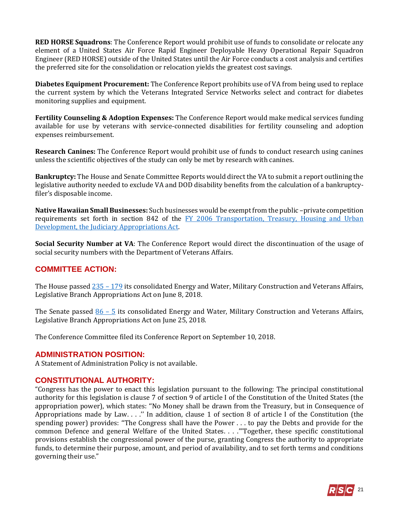**RED HORSE Squadrons**: The Conference Report would prohibit use of funds to consolidate or relocate any element of a United States Air Force Rapid Engineer Deployable Heavy Operational Repair Squadron Engineer (RED HORSE) outside of the United States until the Air Force conducts a cost analysis and certifies the preferred site for the consolidation or relocation yields the greatest cost savings.

**Diabetes Equipment Procurement:** The Conference Report prohibits use of VA from being used to replace the current system by which the Veterans Integrated Service Networks select and contract for diabetes monitoring supplies and equipment.

**Fertility Counseling & Adoption Expenses:** The Conference Report would make medical services funding available for use by veterans with service-connected disabilities for fertility counseling and adoption expenses reimbursement.

**Research Canines:** The Conference Report would prohibit use of funds to conduct research using canines unless the scientific objectives of the study can only be met by research with canines.

**Bankruptcy:** The House and Senate Committee Reports would direct the VA to submit a report outlining the legislative authority needed to exclude VA and DOD disability benefits from the calculation of a bankruptcyfiler's disposable income.

**Native Hawaiian Small Businesses:** Such businesses would be exempt from the public –private competition requirements set forth in section 842 of the FY 2006 Transportation, Treasury, Housing and Urban [Development, the Judiciary Appropriations Act.](https://www.gpo.gov/fdsys/pkg/PLAW-109publ115/html/PLAW-109publ115.htm) 

**Social Security Number at VA**: The Conference Report would direct the discontinuation of the usage of social security numbers with the Department of Veterans Affairs.

# **COMMITTEE ACTION:**

The House passed  $\frac{235 - 179}{2}$  its consolidated Energy and Water, Military Construction and Veterans Affairs, Legislative Branch Appropriations Act on June 8, 2018.

The Senate passed  $86 - 5$  its consolidated Energy and Water, Military Construction and Veterans Affairs, Legislative Branch Appropriations Act on June 25, 2018.

The Conference Committee filed its Conference Report on September 10, 2018.

# **ADMINISTRATION POSITION:**

A Statement of Administration Policy is not available.

# **CONSTITUTIONAL AUTHORITY:**

"Congress has the power to enact this legislation pursuant to the following: The principal constitutional authority for this legislation is clause 7 of section 9 of article I of the Constitution of the United States (the appropriation power), which states: ''No Money shall be drawn from the Treasury, but in Consequence of Appropriations made by Law. . . .'' In addition, clause 1 of section 8 of article I of the Constitution (the spending power) provides: ''The Congress shall have the Power . . . to pay the Debts and provide for the common Defence and general Welfare of the United States. . . .'"Together, these specific constitutional provisions establish the congressional power of the purse, granting Congress the authority to appropriate funds, to determine their purpose, amount, and period of availability, and to set forth terms and conditions governing their use."